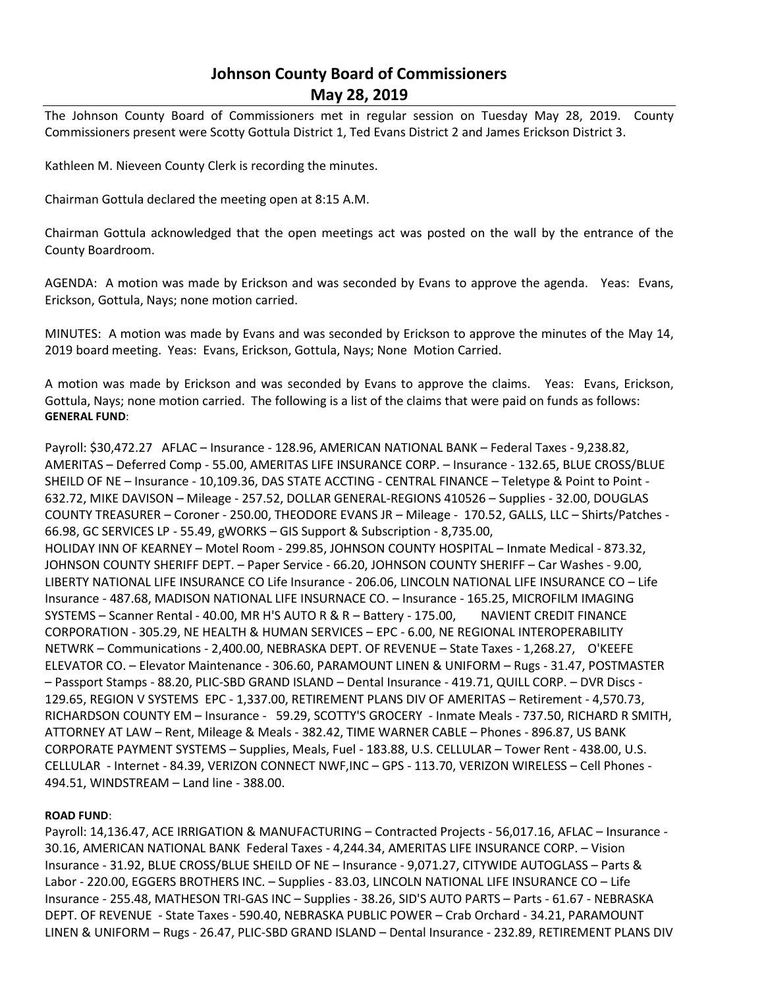## **Johnson County Board of Commissioners May 28, 2019**

The Johnson County Board of Commissioners met in regular session on Tuesday May 28, 2019. County Commissioners present were Scotty Gottula District 1, Ted Evans District 2 and James Erickson District 3.

Kathleen M. Nieveen County Clerk is recording the minutes.

Chairman Gottula declared the meeting open at 8:15 A.M.

Chairman Gottula acknowledged that the open meetings act was posted on the wall by the entrance of the County Boardroom.

AGENDA: A motion was made by Erickson and was seconded by Evans to approve the agenda. Yeas: Evans, Erickson, Gottula, Nays; none motion carried.

MINUTES: A motion was made by Evans and was seconded by Erickson to approve the minutes of the May 14, 2019 board meeting. Yeas: Evans, Erickson, Gottula, Nays; None Motion Carried.

A motion was made by Erickson and was seconded by Evans to approve the claims. Yeas: Evans, Erickson, Gottula, Nays; none motion carried. The following is a list of the claims that were paid on funds as follows: **GENERAL FUND**:

Payroll: \$30,472.27 AFLAC – Insurance - 128.96, AMERICAN NATIONAL BANK – Federal Taxes - 9,238.82, AMERITAS – Deferred Comp - 55.00, AMERITAS LIFE INSURANCE CORP. – Insurance - 132.65, BLUE CROSS/BLUE SHEILD OF NE – Insurance - 10,109.36, DAS STATE ACCTING - CENTRAL FINANCE – Teletype & Point to Point - 632.72, MIKE DAVISON – Mileage - 257.52, DOLLAR GENERAL-REGIONS 410526 – Supplies - 32.00, DOUGLAS COUNTY TREASURER – Coroner - 250.00, THEODORE EVANS JR – Mileage - 170.52, GALLS, LLC – Shirts/Patches - 66.98, GC SERVICES LP - 55.49, gWORKS – GIS Support & Subscription - 8,735.00, HOLIDAY INN OF KEARNEY – Motel Room - 299.85, JOHNSON COUNTY HOSPITAL – Inmate Medical - 873.32, JOHNSON COUNTY SHERIFF DEPT. – Paper Service - 66.20, JOHNSON COUNTY SHERIFF – Car Washes - 9.00, LIBERTY NATIONAL LIFE INSURANCE CO Life Insurance - 206.06, LINCOLN NATIONAL LIFE INSURANCE CO – Life Insurance - 487.68, MADISON NATIONAL LIFE INSURNACE CO. – Insurance - 165.25, MICROFILM IMAGING SYSTEMS – Scanner Rental - 40.00, MR H'S AUTO R & R – Battery - 175.00, NAVIENT CREDIT FINANCE CORPORATION - 305.29, NE HEALTH & HUMAN SERVICES – EPC - 6.00, NE REGIONAL INTEROPERABILITY NETWRK – Communications - 2,400.00, NEBRASKA DEPT. OF REVENUE – State Taxes - 1,268.27, O'KEEFE ELEVATOR CO. – Elevator Maintenance - 306.60, PARAMOUNT LINEN & UNIFORM – Rugs - 31.47, POSTMASTER – Passport Stamps - 88.20, PLIC-SBD GRAND ISLAND – Dental Insurance - 419.71, QUILL CORP. – DVR Discs - 129.65, REGION V SYSTEMS EPC - 1,337.00, RETIREMENT PLANS DIV OF AMERITAS – Retirement - 4,570.73, RICHARDSON COUNTY EM – Insurance - 59.29, SCOTTY'S GROCERY - Inmate Meals - 737.50, RICHARD R SMITH, ATTORNEY AT LAW – Rent, Mileage & Meals - 382.42, TIME WARNER CABLE – Phones - 896.87, US BANK CORPORATE PAYMENT SYSTEMS – Supplies, Meals, Fuel - 183.88, U.S. CELLULAR – Tower Rent - 438.00, U.S. CELLULAR - Internet - 84.39, VERIZON CONNECT NWF,INC – GPS - 113.70, VERIZON WIRELESS – Cell Phones - 494.51, WINDSTREAM – Land line - 388.00.

## **ROAD FUND**:

Payroll: 14,136.47, ACE IRRIGATION & MANUFACTURING – Contracted Projects - 56,017.16, AFLAC – Insurance - 30.16, AMERICAN NATIONAL BANK Federal Taxes - 4,244.34, AMERITAS LIFE INSURANCE CORP. – Vision Insurance - 31.92, BLUE CROSS/BLUE SHEILD OF NE – Insurance - 9,071.27, CITYWIDE AUTOGLASS – Parts & Labor - 220.00, EGGERS BROTHERS INC. – Supplies - 83.03, LINCOLN NATIONAL LIFE INSURANCE CO – Life Insurance - 255.48, MATHESON TRI-GAS INC – Supplies - 38.26, SID'S AUTO PARTS – Parts - 61.67 - NEBRASKA DEPT. OF REVENUE - State Taxes - 590.40, NEBRASKA PUBLIC POWER – Crab Orchard - 34.21, PARAMOUNT LINEN & UNIFORM – Rugs - 26.47, PLIC-SBD GRAND ISLAND – Dental Insurance - 232.89, RETIREMENT PLANS DIV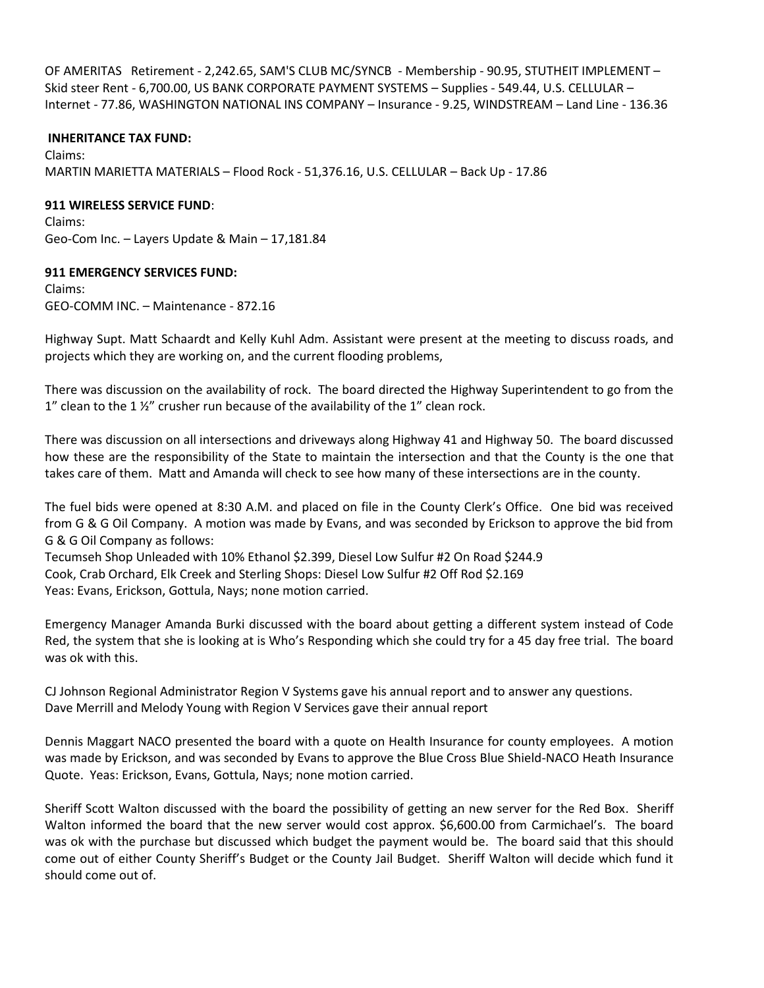OF AMERITAS Retirement - 2,242.65, SAM'S CLUB MC/SYNCB - Membership - 90.95, STUTHEIT IMPLEMENT – Skid steer Rent - 6,700.00, US BANK CORPORATE PAYMENT SYSTEMS – Supplies - 549.44, U.S. CELLULAR – Internet - 77.86, WASHINGTON NATIONAL INS COMPANY – Insurance - 9.25, WINDSTREAM – Land Line - 136.36

**INHERITANCE TAX FUND:** Claims: MARTIN MARIETTA MATERIALS – Flood Rock - 51,376.16, U.S. CELLULAR – Back Up - 17.86

## **911 WIRELESS SERVICE FUND**:

Claims: Geo-Com Inc. – Layers Update & Main – 17,181.84

## **911 EMERGENCY SERVICES FUND:**

Claims: GEO-COMM INC. – Maintenance - 872.16

Highway Supt. Matt Schaardt and Kelly Kuhl Adm. Assistant were present at the meeting to discuss roads, and projects which they are working on, and the current flooding problems,

There was discussion on the availability of rock. The board directed the Highway Superintendent to go from the 1" clean to the 1 $\frac{1}{2}$ " crusher run because of the availability of the 1" clean rock.

There was discussion on all intersections and driveways along Highway 41 and Highway 50. The board discussed how these are the responsibility of the State to maintain the intersection and that the County is the one that takes care of them. Matt and Amanda will check to see how many of these intersections are in the county.

The fuel bids were opened at 8:30 A.M. and placed on file in the County Clerk's Office. One bid was received from G & G Oil Company. A motion was made by Evans, and was seconded by Erickson to approve the bid from G & G Oil Company as follows:

Tecumseh Shop Unleaded with 10% Ethanol \$2.399, Diesel Low Sulfur #2 On Road \$244.9 Cook, Crab Orchard, Elk Creek and Sterling Shops: Diesel Low Sulfur #2 Off Rod \$2.169 Yeas: Evans, Erickson, Gottula, Nays; none motion carried.

Emergency Manager Amanda Burki discussed with the board about getting a different system instead of Code Red, the system that she is looking at is Who's Responding which she could try for a 45 day free trial. The board was ok with this.

CJ Johnson Regional Administrator Region V Systems gave his annual report and to answer any questions. Dave Merrill and Melody Young with Region V Services gave their annual report

Dennis Maggart NACO presented the board with a quote on Health Insurance for county employees. A motion was made by Erickson, and was seconded by Evans to approve the Blue Cross Blue Shield-NACO Heath Insurance Quote. Yeas: Erickson, Evans, Gottula, Nays; none motion carried.

Sheriff Scott Walton discussed with the board the possibility of getting an new server for the Red Box. Sheriff Walton informed the board that the new server would cost approx. \$6,600.00 from Carmichael's. The board was ok with the purchase but discussed which budget the payment would be. The board said that this should come out of either County Sheriff's Budget or the County Jail Budget. Sheriff Walton will decide which fund it should come out of.